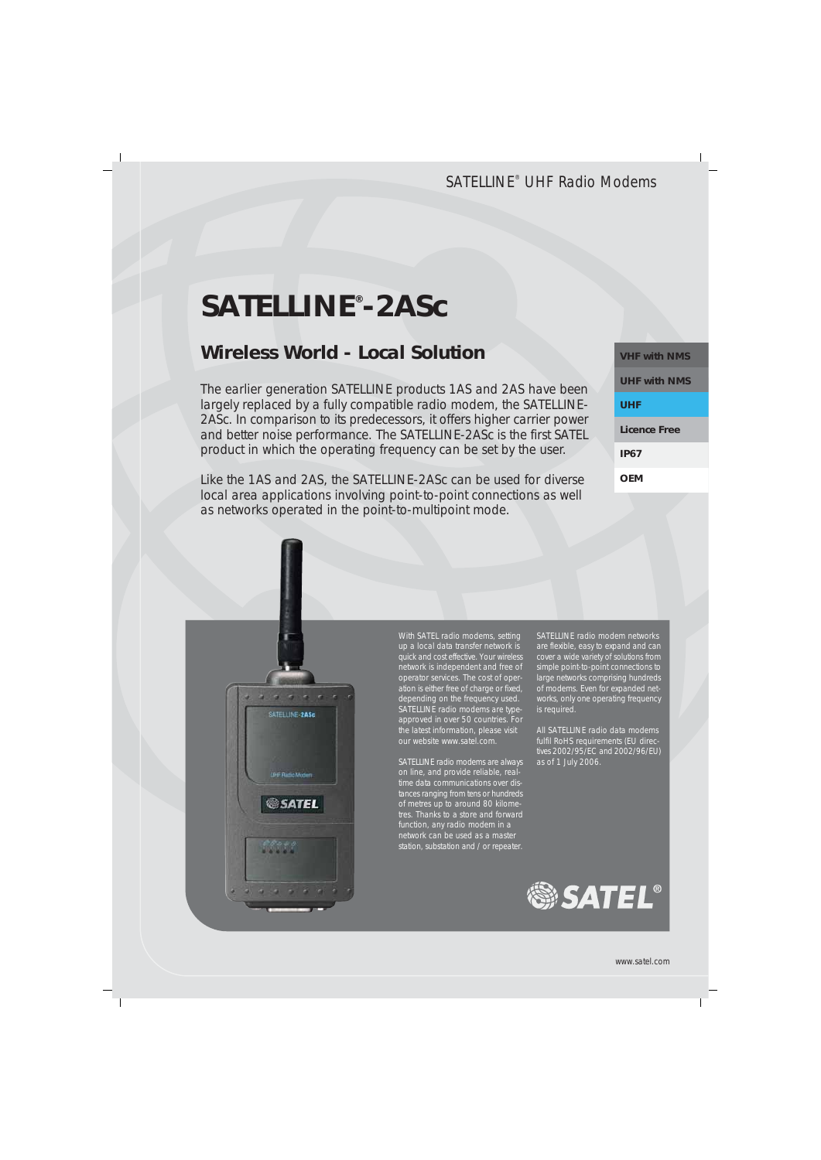# **SATELLINE® -2ASc**

## **Wireless World - Local Solution**

The earlier generation SATELLINE products 1AS and 2AS have been largely replaced by a fully compatible radio modem, the SATELLINE-2ASc. In comparison to its predecessors, it offers higher carrier power and better noise performance. The SATELLINE-2ASc is the first SATEL product in which the operating frequency can be set by the user.

Like the 1AS and 2AS, the SATELLINE-2ASc can be used for diverse local area applications involving point-to-point connections as well as networks operated in the point-to-multipoint mode.

| <b>VHF with NMS</b> |
|---------------------|
| <b>UHF with NMS</b> |
| UHF                 |
| Licence Free        |
| <b>IP67</b>         |
| OFM                 |



With SATEL radio modems, setting up a local data transfer network is quick and cost effective. Your wireless network is independent and free of operator services. The cost of operation is either free of charge or fixed, depending on the frequency used. SATELLINE radio modems are typeapproved in over 50 countries. For the latest information, please visit our website www.satel.com.

SATELLINE radio modems are always on line, and provide reliable, realtime data communications over distances ranging from tens or hundreds of metres up to around 80 kilome tres. Thanks to a store and forward function, any radio modem in a network can be used as a master station, substation and / or repeater.

SATELLINE radio modem networks are flexible, easy to expand and can cover a wide variety of solutions from simple point-to-point connections to large networks comprising hundreds of modems. Even for expanded networks, only one operating frequency is required.

All SATELLINE radio data modems fulfil RoHS requirements (EU directives 2002/95/EC and 2002/96/EU) as of 1 July 2006.